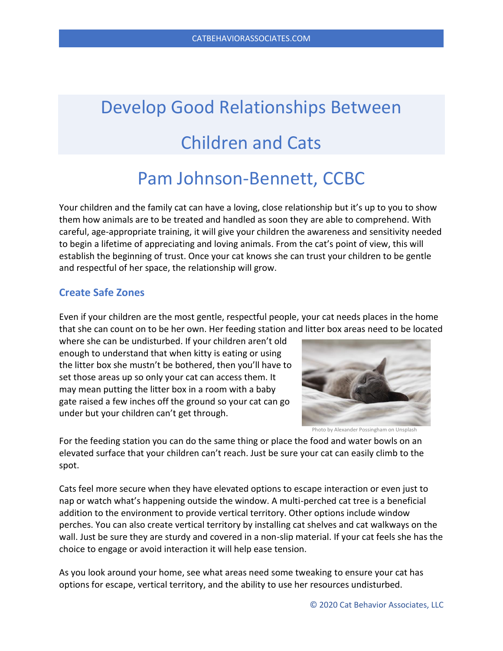# Develop Good Relationships Between Children and Cats

# Pam Johnson-Bennett, CCBC

Your children and the family cat can have a loving, close relationship but it's up to you to show them how animals are to be treated and handled as soon they are able to comprehend. With careful, age-appropriate training, it will give your children the awareness and sensitivity needed to begin a lifetime of appreciating and loving animals. From the cat's point of view, this will establish the beginning of trust. Once your cat knows she can trust your children to be gentle and respectful of her space, the relationship will grow.

# **Create Safe Zones**

Even if your children are the most gentle, respectful people, your cat needs places in the home that she can count on to be her own. Her feeding station and litter box areas need to be located

where she can be undisturbed. If your children aren't old enough to understand that when kitty is eating or using the litter box she mustn't be bothered, then you'll have to set those areas up so only your cat can access them. It may mean putting the litter box in a room with a baby gate raised a few inches off the ground so your cat can go under but your children can't get through.



Photo by Alexander Possingham on Unsplash

For the feeding station you can do the same thing or place the food and water bowls on an elevated surface that your children can't reach. Just be sure your cat can easily climb to the spot.

Cats feel more secure when they have elevated options to escape interaction or even just to nap or watch what's happening outside the window. A multi-perched cat tree is a beneficial addition to the environment to provide vertical territory. Other options include window perches. You can also create vertical territory by installing cat shelves and cat walkways on the wall. Just be sure they are sturdy and covered in a non-slip material. If your cat feels she has the choice to engage or avoid interaction it will help ease tension.

As you look around your home, see what areas need some tweaking to ensure your cat has options for escape, vertical territory, and the ability to use her resources undisturbed.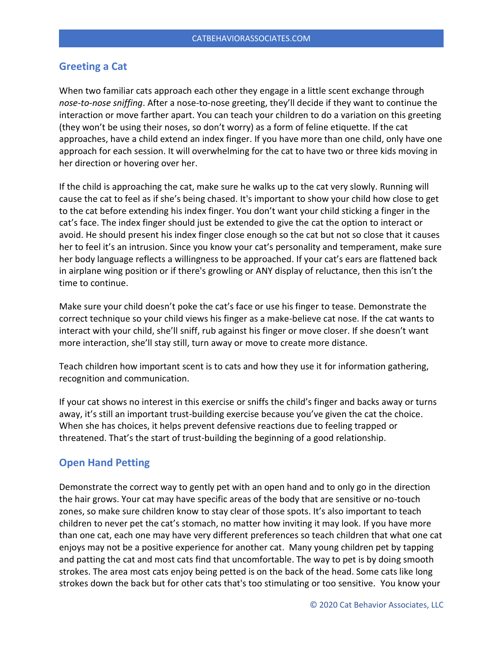# **Greeting a Cat**

When two familiar cats approach each other they engage in a little scent exchange through *nose-to-nose sniffing*. After a nose-to-nose greeting, they'll decide if they want to continue the interaction or move farther apart. You can teach your children to do a variation on this greeting (they won't be using their noses, so don't worry) as a form of feline etiquette. If the cat approaches, have a child extend an index finger. If you have more than one child, only have one approach for each session. It will overwhelming for the cat to have two or three kids moving in her direction or hovering over her.

If the child is approaching the cat, make sure he walks up to the cat very slowly. Running will cause the cat to feel as if she's being chased. It's important to show your child how close to get to the cat before extending his index finger. You don't want your child sticking a finger in the cat's face. The index finger should just be extended to give the cat the option to interact or avoid. He should present his index finger close enough so the cat but not so close that it causes her to feel it's an intrusion. Since you know your cat's personality and temperament, make sure her body language reflects a willingness to be approached. If your cat's ears are flattened back in airplane wing position or if there's growling or ANY display of reluctance, then this isn't the time to continue.

Make sure your child doesn't poke the cat's face or use his finger to tease. Demonstrate the correct technique so your child views his finger as a make-believe cat nose. If the cat wants to interact with your child, she'll sniff, rub against his finger or move closer. If she doesn't want more interaction, she'll stay still, turn away or move to create more distance.

Teach children how important scent is to cats and how they use it for information gathering, recognition and communication.

If your cat shows no interest in this exercise or sniffs the child's finger and backs away or turns away, it's still an important trust-building exercise because you've given the cat the choice. When she has choices, it helps prevent defensive reactions due to feeling trapped or threatened. That's the start of trust-building the beginning of a good relationship.

#### **Open Hand Petting**

Demonstrate the correct way to gently pet with an open hand and to only go in the direction the hair grows. Your cat may have specific areas of the body that are sensitive or no-touch zones, so make sure children know to stay clear of those spots. It's also important to teach children to never pet the cat's stomach, no matter how inviting it may look. If you have more than one cat, each one may have very different preferences so teach children that what one cat enjoys may not be a positive experience for another cat. Many young children pet by tapping and patting the cat and most cats find that uncomfortable. The way to pet is by doing smooth strokes. The area most cats enjoy being petted is on the back of the head. Some cats like long strokes down the back but for other cats that's too stimulating or too sensitive. You know your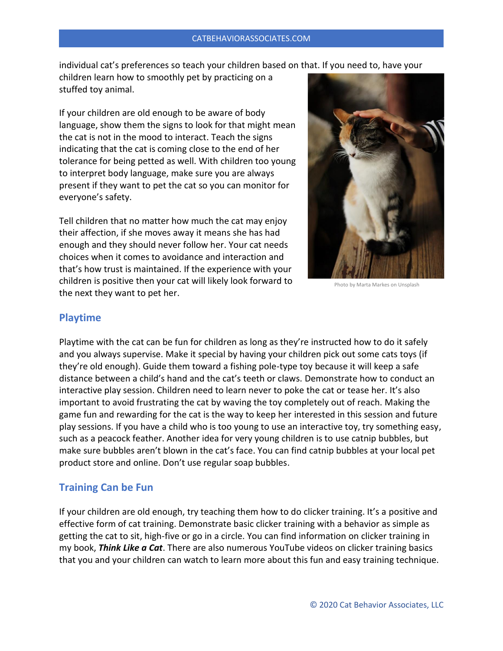individual cat's preferences so teach your children based on that. If you need to, have your

children learn how to smoothly pet by practicing on a stuffed toy animal.

If your children are old enough to be aware of body language, show them the signs to look for that might mean the cat is not in the mood to interact. Teach the signs indicating that the cat is coming close to the end of her tolerance for being petted as well. With children too young to interpret body language, make sure you are always present if they want to pet the cat so you can monitor for everyone's safety.

Tell children that no matter how much the cat may enjoy their affection, if she moves away it means she has had enough and they should never follow her. Your cat needs choices when it comes to avoidance and interaction and that's how trust is maintained. If the experience with your children is positive then your cat will likely look forward to the next they want to pet her.



Photo by Marta Markes on Unsplash

# **Playtime**

Playtime with the cat can be fun for children as long as they're instructed how to do it safely and you always supervise. Make it special by having your children pick out some cats toys (if they're old enough). Guide them toward a fishing pole-type toy because it will keep a safe distance between a child's hand and the cat's teeth or claws. Demonstrate how to conduct an interactive play session. Children need to learn never to poke the cat or tease her. It's also important to avoid frustrating the cat by waving the toy completely out of reach. Making the game fun and rewarding for the cat is the way to keep her interested in this session and future play sessions. If you have a child who is too young to use an interactive toy, try something easy, such as a peacock feather. Another idea for very young children is to use catnip bubbles, but make sure bubbles aren't blown in the cat's face. You can find catnip bubbles at your local pet product store and online. Don't use regular soap bubbles.

# **Training Can be Fun**

If your children are old enough, try teaching them how to do clicker training. It's a positive and effective form of cat training. Demonstrate basic clicker training with a behavior as simple as getting the cat to sit, high-five or go in a circle. You can find information on clicker training in my book, *Think Like a Cat*. There are also numerous YouTube videos on clicker training basics that you and your children can watch to learn more about this fun and easy training technique.